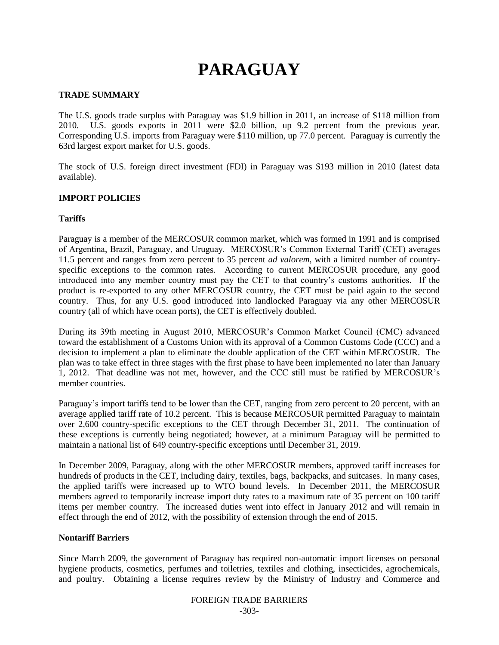# **PARAGUAY**

## **TRADE SUMMARY**

The U.S. goods trade surplus with Paraguay was \$1.9 billion in 2011, an increase of \$118 million from 2010. U.S. goods exports in 2011 were \$2.0 billion, up 9.2 percent from the previous year. Corresponding U.S. imports from Paraguay were \$110 million, up 77.0 percent. Paraguay is currently the 63rd largest export market for U.S. goods.

The stock of U.S. foreign direct investment (FDI) in Paraguay was \$193 million in 2010 (latest data available).

## **IMPORT POLICIES**

## **Tariffs**

Paraguay is a member of the MERCOSUR common market, which was formed in 1991 and is comprised of Argentina, Brazil, Paraguay, and Uruguay. MERCOSUR"s Common External Tariff (CET) averages 11.5 percent and ranges from zero percent to 35 percent *ad valorem*, with a limited number of countryspecific exceptions to the common rates. According to current MERCOSUR procedure, any good introduced into any member country must pay the CET to that country"s customs authorities. If the product is re-exported to any other MERCOSUR country, the CET must be paid again to the second country. Thus, for any U.S. good introduced into landlocked Paraguay via any other MERCOSUR country (all of which have ocean ports), the CET is effectively doubled.

During its 39th meeting in August 2010, MERCOSUR"s Common Market Council (CMC) advanced toward the establishment of a Customs Union with its approval of a Common Customs Code (CCC) and a decision to implement a plan to eliminate the double application of the CET within MERCOSUR. The plan was to take effect in three stages with the first phase to have been implemented no later than January 1, 2012. That deadline was not met, however, and the CCC still must be ratified by MERCOSUR"s member countries.

Paraguay's import tariffs tend to be lower than the CET, ranging from zero percent to 20 percent, with an average applied tariff rate of 10.2 percent. This is because MERCOSUR permitted Paraguay to maintain over 2,600 country-specific exceptions to the CET through December 31, 2011. The continuation of these exceptions is currently being negotiated; however, at a minimum Paraguay will be permitted to maintain a national list of 649 country-specific exceptions until December 31, 2019.

In December 2009, Paraguay, along with the other MERCOSUR members, approved tariff increases for hundreds of products in the CET, including dairy, textiles, bags, backpacks, and suitcases. In many cases, the applied tariffs were increased up to WTO bound levels. In December 2011, the MERCOSUR members agreed to temporarily increase import duty rates to a maximum rate of 35 percent on 100 tariff items per member country. The increased duties went into effect in January 2012 and will remain in effect through the end of 2012, with the possibility of extension through the end of 2015.

## **Nontariff Barriers**

Since March 2009, the government of Paraguay has required non-automatic import licenses on personal hygiene products, cosmetics, perfumes and toiletries, textiles and clothing, insecticides, agrochemicals, and poultry. Obtaining a license requires review by the Ministry of Industry and Commerce and

# FOREIGN TRADE BARRIERS -303-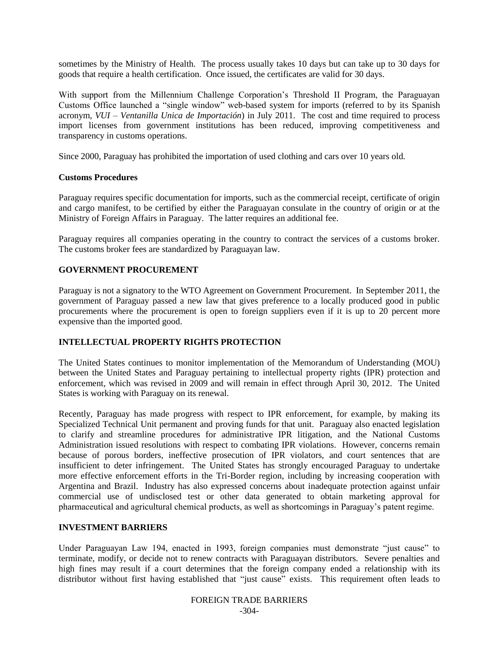sometimes by the Ministry of Health. The process usually takes 10 days but can take up to 30 days for goods that require a health certification. Once issued, the certificates are valid for 30 days.

With support from the Millennium Challenge Corporation's Threshold II Program, the Paraguayan Customs Office launched a "single window" web-based system for imports (referred to by its Spanish acronym, *VUI – Ventanilla Unica de Importación*) in July 2011. The cost and time required to process import licenses from government institutions has been reduced, improving competitiveness and transparency in customs operations.

Since 2000, Paraguay has prohibited the importation of used clothing and cars over 10 years old.

## **Customs Procedures**

Paraguay requires specific documentation for imports, such as the commercial receipt, certificate of origin and cargo manifest, to be certified by either the Paraguayan consulate in the country of origin or at the Ministry of Foreign Affairs in Paraguay. The latter requires an additional fee.

Paraguay requires all companies operating in the country to contract the services of a customs broker. The customs broker fees are standardized by Paraguayan law.

## **GOVERNMENT PROCUREMENT**

Paraguay is not a signatory to the WTO Agreement on Government Procurement. In September 2011, the government of Paraguay passed a new law that gives preference to a locally produced good in public procurements where the procurement is open to foreign suppliers even if it is up to 20 percent more expensive than the imported good.

## **INTELLECTUAL PROPERTY RIGHTS PROTECTION**

The United States continues to monitor implementation of the Memorandum of Understanding (MOU) between the United States and Paraguay pertaining to intellectual property rights (IPR) protection and enforcement, which was revised in 2009 and will remain in effect through April 30, 2012. The United States is working with Paraguay on its renewal.

Recently, Paraguay has made progress with respect to IPR enforcement, for example, by making its Specialized Technical Unit permanent and proving funds for that unit. Paraguay also enacted legislation to clarify and streamline procedures for administrative IPR litigation, and the National Customs Administration issued resolutions with respect to combating IPR violations. However, concerns remain because of porous borders, ineffective prosecution of IPR violators, and court sentences that are insufficient to deter infringement. The United States has strongly encouraged Paraguay to undertake more effective enforcement efforts in the Tri-Border region, including by increasing cooperation with Argentina and Brazil. Industry has also expressed concerns about inadequate protection against unfair commercial use of undisclosed test or other data generated to obtain marketing approval for pharmaceutical and agricultural chemical products, as well as shortcomings in Paraguay"s patent regime.

#### **INVESTMENT BARRIERS**

Under Paraguayan Law 194, enacted in 1993, foreign companies must demonstrate "just cause" to terminate, modify, or decide not to renew contracts with Paraguayan distributors. Severe penalties and high fines may result if a court determines that the foreign company ended a relationship with its distributor without first having established that "just cause" exists. This requirement often leads to